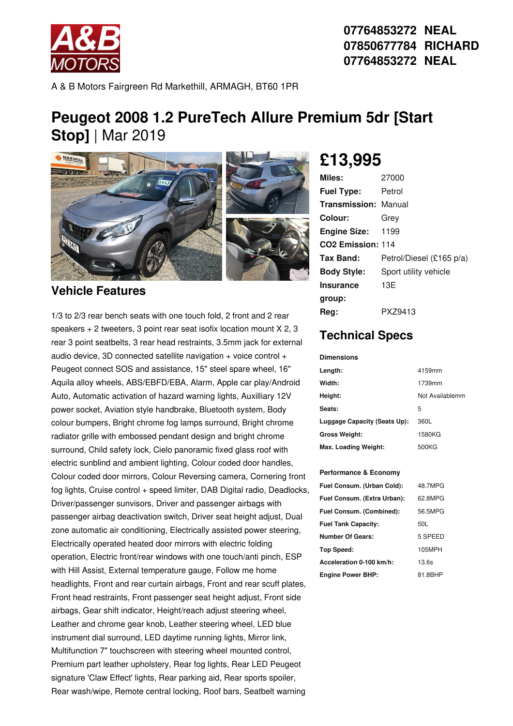

**07764853272 NEAL 07850677784 RICHARD 07764853272 NEAL**

A & B Motors Fairgreen Rd Markethill, ARMAGH, BT60 1PR

# **Peugeot 2008 1.2 PureTech Allure Premium 5dr [Start Stop]** | Mar 2019



### **Vehicle Features**

1/3 to 2/3 rear bench seats with one touch fold, 2 front and 2 rear speakers + 2 tweeters, 3 point rear seat isofix location mount X 2, 3 rear 3 point seatbelts, 3 rear head restraints, 3.5mm jack for external audio device, 3D connected satellite navigation  $+$  voice control  $+$ Peugeot connect SOS and assistance, 15" steel spare wheel, 16" Aquila alloy wheels, ABS/EBFD/EBA, Alarm, Apple car play/Android Auto, Automatic activation of hazard warning lights, Auxilliary 12V power socket, Aviation style handbrake, Bluetooth system, Body colour bumpers, Bright chrome fog lamps surround, Bright chrome radiator grille with embossed pendant design and bright chrome surround, Child safety lock, Cielo panoramic fixed glass roof with electric sunblind and ambient lighting, Colour coded door handles, Colour coded door mirrors, Colour Reversing camera, Cornering front fog lights, Cruise control + speed limiter, DAB Digital radio, Deadlocks, Driver/passenger sunvisors, Driver and passenger airbags with passenger airbag deactivation switch, Driver seat height adjust, Dual zone automatic air conditioning, Electrically assisted power steering, Electrically operated heated door mirrors with electric folding operation, Electric front/rear windows with one touch/anti pinch, ESP with Hill Assist, External temperature gauge, Follow me home headlights, Front and rear curtain airbags, Front and rear scuff plates, Front head restraints, Front passenger seat height adjust, Front side airbags, Gear shift indicator, Height/reach adjust steering wheel, Leather and chrome gear knob, Leather steering wheel, LED blue instrument dial surround, LED daytime running lights, Mirror link, Multifunction 7" touchscreen with steering wheel mounted control, Premium part leather upholstery, Rear fog lights, Rear LED Peugeot signature 'Claw Effect' lights, Rear parking aid, Rear sports spoiler, Rear wash/wipe, Remote central locking, Roof bars, Seatbelt warning

# **£13,995**

| Miles:                      | 27000                    |
|-----------------------------|--------------------------|
| <b>Fuel Type:</b>           | Petrol                   |
| <b>Transmission: Manual</b> |                          |
| <b>Colour:</b>              | Grey                     |
| <b>Engine Size: 1199</b>    |                          |
| CO2 Emission: 114           |                          |
| Tax Band:                   | Petrol/Diesel (£165 p/a) |
| <b>Body Style:</b>          | Sport utility vehicle    |
| Insurance                   | 13E                      |
| group:                      |                          |
| Reg:                        | PXZ9413                  |

### **Technical Specs**

#### **Dimensions**

| Length:                      | 4159mm          |
|------------------------------|-----------------|
| Width:                       | 1739mm          |
| Height:                      | Not Availablemm |
| Seats:                       | 5               |
| Luggage Capacity (Seats Up): | 360L            |
| <b>Gross Weight:</b>         | 1580KG          |
| Max. Loading Weight:         | 500KG           |

#### **Performance & Economy**

| 48.7MPG |
|---------|
| 62.8MPG |
| 56.5MPG |
| 50L     |
| 5 SPEED |
| 105MPH  |
| 13.6s   |
| 81.8BHP |
|         |